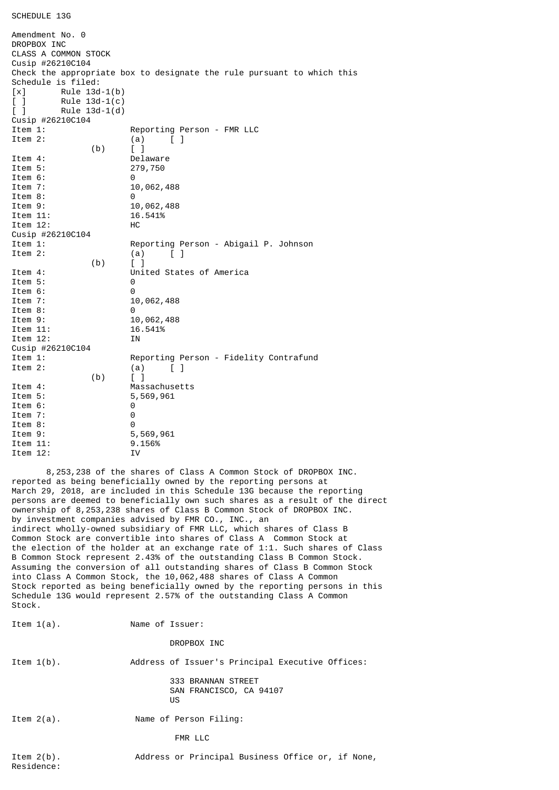## SCHEDULE 13G

| Amendment No. 0                                      |                                                                        |
|------------------------------------------------------|------------------------------------------------------------------------|
| DROPBOX INC                                          |                                                                        |
| <b>CLASS A COMMON STOCK</b>                          |                                                                        |
| Cusip #26210C104                                     |                                                                        |
|                                                      | Check the appropriate box to designate the rule pursuant to which this |
| Schedule is filed:                                   |                                                                        |
| Rule $13d-1(b)$<br>$\lceil x \rceil$                 |                                                                        |
| $\begin{bmatrix} 1 \end{bmatrix}$<br>Rule $13d-1(c)$ |                                                                        |
| Rule $13d-1(d)$<br>$\begin{bmatrix} 1 \end{bmatrix}$ |                                                                        |
| Cusip #26210C104                                     |                                                                        |
| Item 1:                                              | Reporting Person - FMR LLC                                             |
| Item 2:                                              | (a)<br>$\mathbf{L}$<br>$\Box$                                          |
| (b)                                                  | $[\ ]$                                                                 |
| Item 4:                                              | Delaware                                                               |
| Item 5:                                              | 279,750                                                                |
| Item 6:                                              | 0                                                                      |
| Item 7:                                              | 10,062,488                                                             |
| Item 8:                                              | 0                                                                      |
| Item 9:                                              | 10,062,488                                                             |
| Item 11:                                             | 16.541%                                                                |
| Item 12:                                             | нc                                                                     |
| Cusip #26210C104                                     |                                                                        |
| Item 1:                                              | Reporting Person - Abigail P. Johnson                                  |
| Item 2:                                              | (a)<br>$\mathbf{1}$                                                    |
| (b)                                                  | $\begin{bmatrix} 1 \end{bmatrix}$                                      |
| Item 4:                                              | United States of America                                               |
| Item 5:                                              | 0                                                                      |
| Item 6:                                              | 0                                                                      |
| Item 7:                                              | 10,062,488                                                             |
| Item 8:                                              | 0                                                                      |
| Item 9:                                              | 10,062,488                                                             |
| Item 11:                                             | 16.541%                                                                |
| Item 12:                                             | ΙN                                                                     |
| Cusip #26210C104                                     |                                                                        |
| Item 1:                                              | Reporting Person - Fidelity Contrafund                                 |
| Item 2:                                              | (a)<br>LΙ                                                              |
| (b)                                                  | $\begin{bmatrix} 1 \end{bmatrix}$                                      |
| Item 4:                                              | Massachusetts                                                          |
| Item 5:                                              | 5,569,961                                                              |
| Item 6:                                              | 0                                                                      |
| Item 7:                                              | 0                                                                      |
| Item 8:                                              | 0                                                                      |
| Item 9:                                              | 5,569,961                                                              |
| Item 11:                                             | 9.156%                                                                 |
| Item 12:                                             | ΙV                                                                     |

 8,253,238 of the shares of Class A Common Stock of DROPBOX INC. reported as being beneficially owned by the reporting persons at March 29, 2018, are included in this Schedule 13G because the reporting persons are deemed to beneficially own such shares as a result of the direct ownership of 8,253,238 shares of Class B Common Stock of DROPBOX INC. by investment companies advised by FMR CO., INC., an indirect wholly-owned subsidiary of FMR LLC, which shares of Class B Common Stock are convertible into shares of Class A Common Stock at the election of the holder at an exchange rate of 1:1. Such shares of Class B Common Stock represent 2.43% of the outstanding Class B Common Stock. Assuming the conversion of all outstanding shares of Class B Common Stock into Class A Common Stock, the 10,062,488 shares of Class A Common Stock reported as being beneficially owned by the reporting persons in this Schedule 13G would represent 2.57% of the outstanding Class A Common Stock.

Item 1(a). Name of Issuer:

DROPBOX INC

Item 1(b). Address of Issuer's Principal Executive Offices:

 333 BRANNAN STREET SAN FRANCISCO, CA 94107 **US** 

Item 2(a). Name of Person Filing:

FMR LLC

Item 2(b). Address or Principal Business Office or, if None, Residence: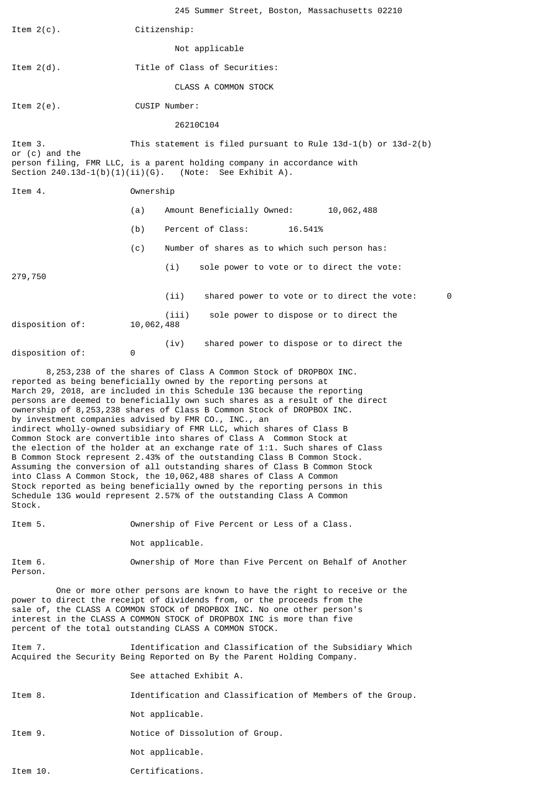|                 |            | 245 Summer Street, Boston, Massachusetts 02210                                                                                      |   |
|-----------------|------------|-------------------------------------------------------------------------------------------------------------------------------------|---|
| Item $2(c)$ .   |            | Citizenship:                                                                                                                        |   |
|                 |            | Not applicable                                                                                                                      |   |
| Item $2(d)$ .   |            | Title of Class of Securities:                                                                                                       |   |
|                 |            | CLASS A COMMON STOCK                                                                                                                |   |
| Item $2(e)$ .   |            | CUSIP Number:                                                                                                                       |   |
|                 |            | 26210C104                                                                                                                           |   |
| Item 3.         |            | This statement is filed pursuant to Rule $13d-1(b)$ or $13d-2(b)$                                                                   |   |
| or (c) and the  |            | person filing, FMR LLC, is a parent holding company in accordance with<br>Section $240.13d-1(b)(1)(ii)(G)$ . (Note: See Exhibit A). |   |
| Item 4.         | Ownership  |                                                                                                                                     |   |
|                 | (a)        | Amount Beneficially Owned:<br>10,062,488                                                                                            |   |
|                 | (b)        | Percent of Class:<br>16.541%                                                                                                        |   |
|                 | (c)        | Number of shares as to which such person has:                                                                                       |   |
| 279,750         |            | (i)<br>sole power to vote or to direct the vote:                                                                                    |   |
|                 |            | (ii)<br>shared power to vote or to direct the vote:                                                                                 | 0 |
| disposition of: | 10,062,488 | sole power to dispose or to direct the<br>(iii)                                                                                     |   |
| disposition of: | 0          | shared power to dispose or to direct the<br>(iv)                                                                                    |   |

 8,253,238 of the shares of Class A Common Stock of DROPBOX INC. reported as being beneficially owned by the reporting persons at March 29, 2018, are included in this Schedule 13G because the reporting persons are deemed to beneficially own such shares as a result of the direct ownership of 8,253,238 shares of Class B Common Stock of DROPBOX INC. by investment companies advised by FMR CO., INC., an indirect wholly-owned subsidiary of FMR LLC, which shares of Class B Common Stock are convertible into shares of Class A Common Stock at the election of the holder at an exchange rate of 1:1. Such shares of Class B Common Stock represent 2.43% of the outstanding Class B Common Stock. Assuming the conversion of all outstanding shares of Class B Common Stock into Class A Common Stock, the 10,062,488 shares of Class A Common Stock reported as being beneficially owned by the reporting persons in this Schedule 13G would represent 2.57% of the outstanding Class A Common Stock.

Item 5. Ownership of Five Percent or Less of a Class.

Not applicable.

Person.

Item 6. Ownership of More than Five Percent on Behalf of Another

 One or more other persons are known to have the right to receive or the power to direct the receipt of dividends from, or the proceeds from the sale of, the CLASS A COMMON STOCK of DROPBOX INC. No one other person's interest in the CLASS A COMMON STOCK of DROPBOX INC is more than five percent of the total outstanding CLASS A COMMON STOCK.

Item 7. Identification and Classification of the Subsidiary Which Acquired the Security Being Reported on By the Parent Holding Company.

See attached Exhibit A.

Item 8. Identification and Classification of Members of the Group.

Not applicable.

Item 9. Notice of Dissolution of Group.

Not applicable.

Item 10. Certifications.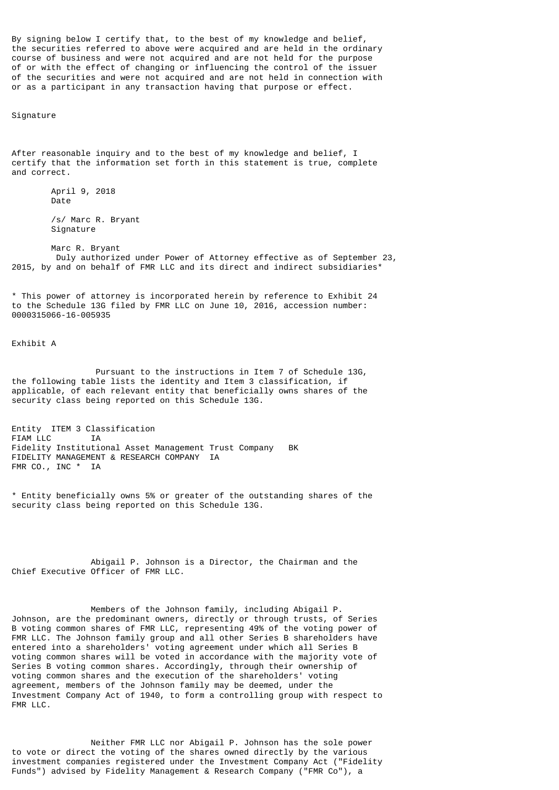By signing below I certify that, to the best of my knowledge and belief, the securities referred to above were acquired and are held in the ordinary course of business and were not acquired and are not held for the purpose of or with the effect of changing or influencing the control of the issuer of the securities and were not acquired and are not held in connection with or as a participant in any transaction having that purpose or effect.

Signature

After reasonable inquiry and to the best of my knowledge and belief, I certify that the information set forth in this statement is true, complete and correct.

> April 9, 2018 Date /s/ Marc R. Bryant

Signature

 Marc R. Bryant Duly authorized under Power of Attorney effective as of September 23, 2015, by and on behalf of FMR LLC and its direct and indirect subsidiaries\*

\* This power of attorney is incorporated herein by reference to Exhibit 24 to the Schedule 13G filed by FMR LLC on June 10, 2016, accession number: 0000315066-16-005935

Exhibit A

 Pursuant to the instructions in Item 7 of Schedule 13G, the following table lists the identity and Item 3 classification, if applicable, of each relevant entity that beneficially owns shares of the security class being reported on this Schedule 13G.

Entity ITEM 3 Classification FIAM LLC IA Fidelity Institutional Asset Management Trust Company BK FIDELITY MANAGEMENT & RESEARCH COMPANY IA FMR CO., INC \* IA

\* Entity beneficially owns 5% or greater of the outstanding shares of the security class being reported on this Schedule 13G.

 Abigail P. Johnson is a Director, the Chairman and the Chief Executive Officer of FMR LLC.

 Members of the Johnson family, including Abigail P. Johnson, are the predominant owners, directly or through trusts, of Series B voting common shares of FMR LLC, representing 49% of the voting power of FMR LLC. The Johnson family group and all other Series B shareholders have entered into a shareholders' voting agreement under which all Series B voting common shares will be voted in accordance with the majority vote of Series B voting common shares. Accordingly, through their ownership of voting common shares and the execution of the shareholders' voting agreement, members of the Johnson family may be deemed, under the Investment Company Act of 1940, to form a controlling group with respect to FMR LLC.

 Neither FMR LLC nor Abigail P. Johnson has the sole power to vote or direct the voting of the shares owned directly by the various investment companies registered under the Investment Company Act ("Fidelity Funds") advised by Fidelity Management & Research Company ("FMR Co"), a